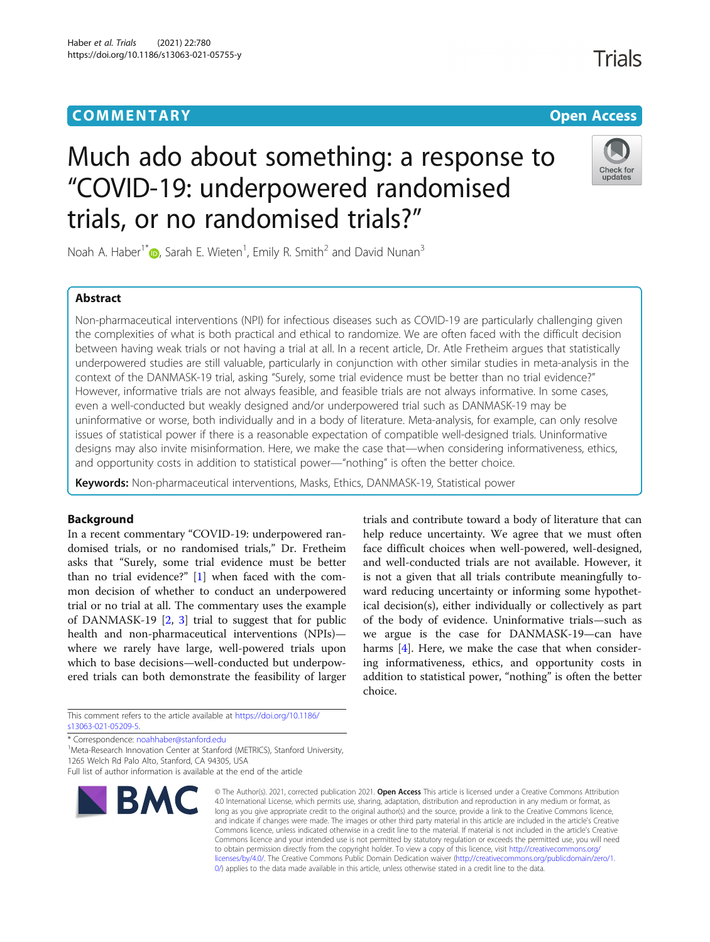# **COMMENTARY COMMENTARY Open Access**

# **Trials**

# Much ado about something: a response to "COVID-19: underpowered randomised trials, or no randomised trials?"



Noah A. Haber<sup>1\*</sup> $\textsf{\textcircled{\textsf{D}}}$ [,](http://orcid.org/0000-0002-5672-1769) Sarah E. Wieten<sup>1</sup>, Emily R. Smith<sup>2</sup> and David Nunan<sup>3</sup>

# Abstract

Non-pharmaceutical interventions (NPI) for infectious diseases such as COVID-19 are particularly challenging given the complexities of what is both practical and ethical to randomize. We are often faced with the difficult decision between having weak trials or not having a trial at all. In a recent article, Dr. Atle Fretheim argues that statistically underpowered studies are still valuable, particularly in conjunction with other similar studies in meta-analysis in the context of the DANMASK-19 trial, asking "Surely, some trial evidence must be better than no trial evidence?" However, informative trials are not always feasible, and feasible trials are not always informative. In some cases, even a well-conducted but weakly designed and/or underpowered trial such as DANMASK-19 may be uninformative or worse, both individually and in a body of literature. Meta-analysis, for example, can only resolve issues of statistical power if there is a reasonable expectation of compatible well-designed trials. Uninformative designs may also invite misinformation. Here, we make the case that—when considering informativeness, ethics, and opportunity costs in addition to statistical power—"nothing" is often the better choice.

Keywords: Non-pharmaceutical interventions, Masks, Ethics, DANMASK-19, Statistical power

# Background

In a recent commentary "COVID-19: underpowered randomised trials, or no randomised trials," Dr. Fretheim asks that "Surely, some trial evidence must be better than no trial evidence?" [\[1](#page-2-0)] when faced with the common decision of whether to conduct an underpowered trial or no trial at all. The commentary uses the example of DANMASK-19 [[2,](#page-2-0) [3\]](#page-2-0) trial to suggest that for public health and non-pharmaceutical interventions (NPIs) where we rarely have large, well-powered trials upon which to base decisions—well-conducted but underpowered trials can both demonstrate the feasibility of larger

This comment refers to the article available at [https://doi.org/10.1186/](https://doi.org/10.1186/s13063-021-05209-5) [s13063-021-05209-5](https://doi.org/10.1186/s13063-021-05209-5).

\* Correspondence: [noahhaber@stanford.edu](mailto:noahhaber@stanford.edu) <sup>1</sup>

<sup>1</sup>Meta-Research Innovation Center at Stanford (METRICS), Stanford University, 1265 Welch Rd Palo Alto, Stanford, CA 94305, USA

Full list of author information is available at the end of the article



© The Author(s), 2021, corrected publication 2021, **Open Access** This article is licensed under a Creative Commons Attribution 4.0 International License, which permits use, sharing, adaptation, distribution and reproduction in any medium or format, as long as you give appropriate credit to the original author(s) and the source, provide a link to the Creative Commons licence, and indicate if changes were made. The images or other third party material in this article are included in the article's Creative Commons licence, unless indicated otherwise in a credit line to the material. If material is not included in the article's Creative Commons licence and your intended use is not permitted by statutory regulation or exceeds the permitted use, you will need to obtain permission directly from the copyright holder. To view a copy of this licence, visit [http://creativecommons.org/](http://creativecommons.org/licenses/by/4.0/) [licenses/by/4.0/.](http://creativecommons.org/licenses/by/4.0/) The Creative Commons Public Domain Dedication waiver ([http://creativecommons.org/publicdomain/zero/1.](http://creativecommons.org/publicdomain/zero/1.0/) [0/\)](http://creativecommons.org/publicdomain/zero/1.0/) applies to the data made available in this article, unless otherwise stated in a credit line to the data.

trials and contribute toward a body of literature that can help reduce uncertainty. We agree that we must often face difficult choices when well-powered, well-designed, and well-conducted trials are not available. However, it is not a given that all trials contribute meaningfully toward reducing uncertainty or informing some hypothetical decision(s), either individually or collectively as part of the body of evidence. Uninformative trials—such as we argue is the case for DANMASK-19—can have harms [[4\]](#page-3-0). Here, we make the case that when considering informativeness, ethics, and opportunity costs in addition to statistical power, "nothing" is often the better choice.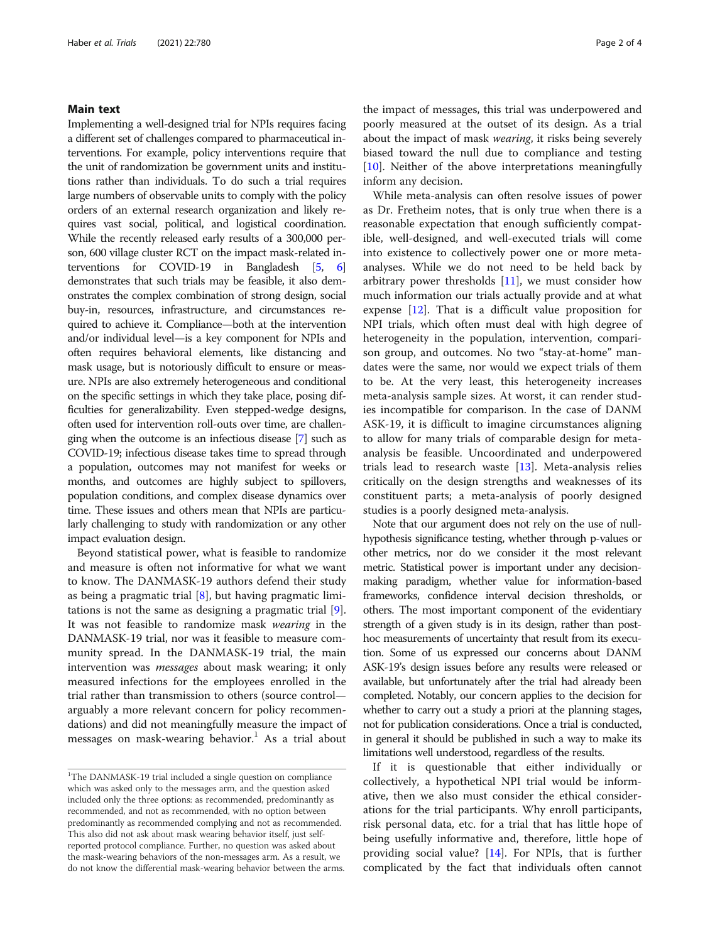### Main text

Implementing a well-designed trial for NPIs requires facing a different set of challenges compared to pharmaceutical interventions. For example, policy interventions require that the unit of randomization be government units and institutions rather than individuals. To do such a trial requires large numbers of observable units to comply with the policy orders of an external research organization and likely requires vast social, political, and logistical coordination. While the recently released early results of a 300,000 person, 600 village cluster RCT on the impact mask-related interventions for COVID-19 in Bangladesh [\[5,](#page-3-0) [6](#page-3-0)] demonstrates that such trials may be feasible, it also demonstrates the complex combination of strong design, social buy-in, resources, infrastructure, and circumstances required to achieve it. Compliance—both at the intervention and/or individual level—is a key component for NPIs and often requires behavioral elements, like distancing and mask usage, but is notoriously difficult to ensure or measure. NPIs are also extremely heterogeneous and conditional on the specific settings in which they take place, posing difficulties for generalizability. Even stepped-wedge designs, often used for intervention roll-outs over time, are challenging when the outcome is an infectious disease [\[7](#page-3-0)] such as COVID-19; infectious disease takes time to spread through a population, outcomes may not manifest for weeks or months, and outcomes are highly subject to spillovers, population conditions, and complex disease dynamics over time. These issues and others mean that NPIs are particularly challenging to study with randomization or any other impact evaluation design.

Beyond statistical power, what is feasible to randomize and measure is often not informative for what we want to know. The DANMASK-19 authors defend their study as being a pragmatic trial [\[8](#page-3-0)], but having pragmatic limitations is not the same as designing a pragmatic trial [\[9](#page-3-0)]. It was not feasible to randomize mask wearing in the DANMASK-19 trial, nor was it feasible to measure community spread. In the DANMASK-19 trial, the main intervention was messages about mask wearing; it only measured infections for the employees enrolled in the trial rather than transmission to others (source control arguably a more relevant concern for policy recommendations) and did not meaningfully measure the impact of messages on mask-wearing behavior.<sup>1</sup> As a trial about

the impact of messages, this trial was underpowered and poorly measured at the outset of its design. As a trial about the impact of mask wearing, it risks being severely biased toward the null due to compliance and testing [[10\]](#page-3-0). Neither of the above interpretations meaningfully inform any decision.

While meta-analysis can often resolve issues of power as Dr. Fretheim notes, that is only true when there is a reasonable expectation that enough sufficiently compatible, well-designed, and well-executed trials will come into existence to collectively power one or more metaanalyses. While we do not need to be held back by arbitrary power thresholds  $[11]$ , we must consider how much information our trials actually provide and at what expense [[12](#page-3-0)]. That is a difficult value proposition for NPI trials, which often must deal with high degree of heterogeneity in the population, intervention, comparison group, and outcomes. No two "stay-at-home" mandates were the same, nor would we expect trials of them to be. At the very least, this heterogeneity increases meta-analysis sample sizes. At worst, it can render studies incompatible for comparison. In the case of DANM ASK-19, it is difficult to imagine circumstances aligning to allow for many trials of comparable design for metaanalysis be feasible. Uncoordinated and underpowered trials lead to research waste [[13](#page-3-0)]. Meta-analysis relies critically on the design strengths and weaknesses of its constituent parts; a meta-analysis of poorly designed studies is a poorly designed meta-analysis.

Note that our argument does not rely on the use of nullhypothesis significance testing, whether through p-values or other metrics, nor do we consider it the most relevant metric. Statistical power is important under any decisionmaking paradigm, whether value for information-based frameworks, confidence interval decision thresholds, or others. The most important component of the evidentiary strength of a given study is in its design, rather than posthoc measurements of uncertainty that result from its execution. Some of us expressed our concerns about DANM ASK-19's design issues before any results were released or available, but unfortunately after the trial had already been completed. Notably, our concern applies to the decision for whether to carry out a study a priori at the planning stages, not for publication considerations. Once a trial is conducted, in general it should be published in such a way to make its limitations well understood, regardless of the results.

If it is questionable that either individually or collectively, a hypothetical NPI trial would be informative, then we also must consider the ethical considerations for the trial participants. Why enroll participants, risk personal data, etc. for a trial that has little hope of being usefully informative and, therefore, little hope of providing social value? [\[14](#page-3-0)]. For NPIs, that is further complicated by the fact that individuals often cannot

<sup>&</sup>lt;sup>1</sup>The DANMASK-19 trial included a single question on compliance which was asked only to the messages arm, and the question asked included only the three options: as recommended, predominantly as recommended, and not as recommended, with no option between predominantly as recommended complying and not as recommended. This also did not ask about mask wearing behavior itself, just selfreported protocol compliance. Further, no question was asked about the mask-wearing behaviors of the non-messages arm. As a result, we do not know the differential mask-wearing behavior between the arms.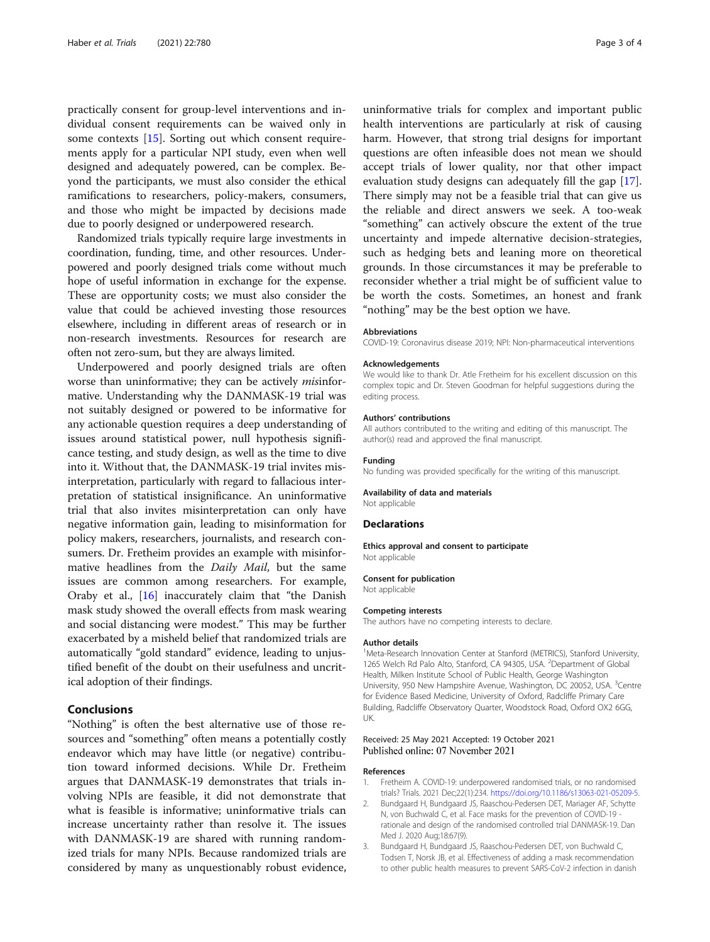<span id="page-2-0"></span>practically consent for group-level interventions and individual consent requirements can be waived only in some contexts [\[15](#page-3-0)]. Sorting out which consent requirements apply for a particular NPI study, even when well designed and adequately powered, can be complex. Beyond the participants, we must also consider the ethical ramifications to researchers, policy-makers, consumers, and those who might be impacted by decisions made due to poorly designed or underpowered research.

Randomized trials typically require large investments in coordination, funding, time, and other resources. Underpowered and poorly designed trials come without much hope of useful information in exchange for the expense. These are opportunity costs; we must also consider the value that could be achieved investing those resources elsewhere, including in different areas of research or in non-research investments. Resources for research are often not zero-sum, but they are always limited.

Underpowered and poorly designed trials are often worse than uninformative; they can be actively misinformative. Understanding why the DANMASK-19 trial was not suitably designed or powered to be informative for any actionable question requires a deep understanding of issues around statistical power, null hypothesis significance testing, and study design, as well as the time to dive into it. Without that, the DANMASK-19 trial invites misinterpretation, particularly with regard to fallacious interpretation of statistical insignificance. An uninformative trial that also invites misinterpretation can only have negative information gain, leading to misinformation for policy makers, researchers, journalists, and research consumers. Dr. Fretheim provides an example with misinformative headlines from the *Daily Mail*, but the same issues are common among researchers. For example, Oraby et al., [[16](#page-3-0)] inaccurately claim that "the Danish mask study showed the overall effects from mask wearing and social distancing were modest." This may be further exacerbated by a misheld belief that randomized trials are automatically "gold standard" evidence, leading to unjustified benefit of the doubt on their usefulness and uncritical adoption of their findings.

# Conclusions

"Nothing" is often the best alternative use of those resources and "something" often means a potentially costly endeavor which may have little (or negative) contribution toward informed decisions. While Dr. Fretheim argues that DANMASK-19 demonstrates that trials involving NPIs are feasible, it did not demonstrate that what is feasible is informative; uninformative trials can increase uncertainty rather than resolve it. The issues with DANMASK-19 are shared with running randomized trials for many NPIs. Because randomized trials are considered by many as unquestionably robust evidence,

uninformative trials for complex and important public health interventions are particularly at risk of causing harm. However, that strong trial designs for important questions are often infeasible does not mean we should accept trials of lower quality, nor that other impact evaluation study designs can adequately fill the gap [\[17](#page-3-0)]. There simply may not be a feasible trial that can give us the reliable and direct answers we seek. A too-weak "something" can actively obscure the extent of the true uncertainty and impede alternative decision-strategies, such as hedging bets and leaning more on theoretical grounds. In those circumstances it may be preferable to reconsider whether a trial might be of sufficient value to be worth the costs. Sometimes, an honest and frank "nothing" may be the best option we have.

#### Abbreviations

COVID-19: Coronavirus disease 2019; NPI: Non-pharmaceutical interventions

#### Acknowledgements

We would like to thank Dr. Atle Fretheim for his excellent discussion on this complex topic and Dr. Steven Goodman for helpful suggestions during the editing process.

#### Authors' contributions

All authors contributed to the writing and editing of this manuscript. The author(s) read and approved the final manuscript.

### Funding

No funding was provided specifically for the writing of this manuscript.

Availability of data and materials

Not applicable

# Declarations

Ethics approval and consent to participate Not applicable

#### Consent for publication

Not applicable

#### Competing interests

The authors have no competing interests to declare.

#### Author details

<sup>1</sup>Meta-Research Innovation Center at Stanford (METRICS), Stanford University 1265 Welch Rd Palo Alto, Stanford, CA 94305, USA. <sup>2</sup>Department of Global Health, Milken Institute School of Public Health, George Washington University, 950 New Hampshire Avenue, Washington, DC 20052, USA. <sup>3</sup>Centre for Evidence Based Medicine, University of Oxford, Radcliffe Primary Care Building, Radcliffe Observatory Quarter, Woodstock Road, Oxford OX2 6GG, UK.

### Received: 25 May 2021 Accepted: 19 October 2021 Published online: 07 November 2021

#### References

- 1. Fretheim A. COVID-19: underpowered randomised trials, or no randomised trials? Trials. 2021 Dec;22(1):234. [https://doi.org/10.1186/s13063-021-05209-5.](https://doi.org/10.1186/s13063-021-05209-5)
- 2. Bundgaard H, Bundgaard JS, Raaschou-Pedersen DET, Mariager AF, Schytte N, von Buchwald C, et al. Face masks for the prevention of COVID-19 rationale and design of the randomised controlled trial DANMASK-19. Dan Med J. 2020 Aug;18:67(9).
- 3. Bundgaard H, Bundgaard JS, Raaschou-Pedersen DET, von Buchwald C, Todsen T, Norsk JB, et al. Effectiveness of adding a mask recommendation to other public health measures to prevent SARS-CoV-2 infection in danish